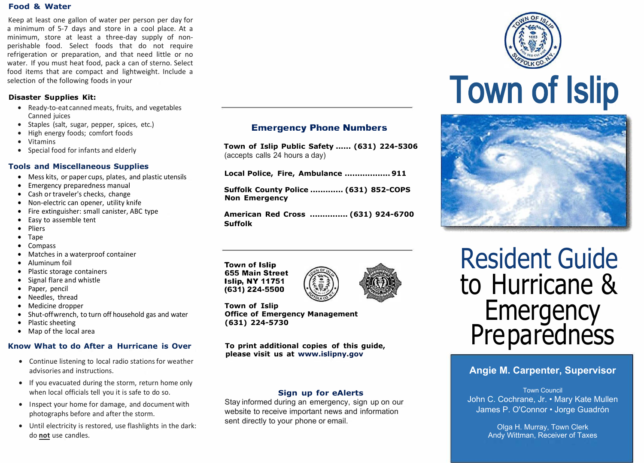#### **Food & Water**

Keep at least one gallon of water per person per day for a minimum of 5-7 days and store in a cool place. At a minimum, store at least a three-day supply of nonperishable food. Select foods that do not require refrigeration or preparation, and that need little or no water. If you must heat food, pack a can of sterno. Select food items that are compact and lightweight. Include a selection of the following foods in your

#### **Disaster Supplies Kit:**

- Ready-to-eat canned meats, fruits, and vegetables Canned juices
- Staples (salt, sugar, pepper, spices, etc.)
- High energy foods; comfort foods
- Vitamins
- Special food for infants and elderly

#### **Tools and Miscellaneous Supplies**

- Mess kits, or paper cups, plates, and plastic utensils
- Emergency preparedness manual
- Cash or traveler's checks, change
- Non-electric can opener, utility knife
- Fire extinguisher: small canister, ABC type
- Easy to assemble tent
- Pliers
- Tape
- Compass
- Matches in a waterproof container
- Aluminum foil
- Plastic storage containers
- Signal flare and whistle
- Paper, pencil
- Needles, thread
- Medicine dropper
- Shut-off wrench, to turn off household gas and water
- Plastic sheeting
- Map of the local area

#### **Know What to do After a Hurricane is Over**

- Continue listening to local radio stations for weather advisories and instructions.
- If you evacuated during the storm, return home only when local officials tell you it is safe to do so.
- Inspect your home for damage, and document with photographs before and after the storm.
- Until electricity is restored, use flashlights in the dark: do **not** use candles.

#### **Emergency Phone Numbers**

**Town of Islip Public Safety ...... (631) 224-5306**  (accepts calls 24 hours a day)

|  |  |  |  | Local Police, Fire, Ambulance  911 |
|--|--|--|--|------------------------------------|
|--|--|--|--|------------------------------------|

**Suffolk County Police ............. (631) 852-COPS Non Emergency** 

**American Red Cross ............... (631) 924-6700 Suffolk** 

**Town of Islip 655 Main Street Islip, NY 11751 (631) 224-5500**



**Town of Islip Office of Emergency Management (631) 224-5730**

**To print additional copies of this guide, please visit us at www.islipny.gov** 

#### **Sign up for eAlerts**

Stay informed during an emergency, sign up on our website to receive important news and information sent directly to your phone or email.





Resident Guide to Hurricane & **Emergency** Pre pa redness

#### **Angie M. Carpenter, Supervisor**

Town Council John C. Cochrane, Jr. • Mary Kate Mullen James P. O'Connor • Jorge Guadrón

> Olga H. Murray, Town Clerk Andy Wittman, Receiver of Taxes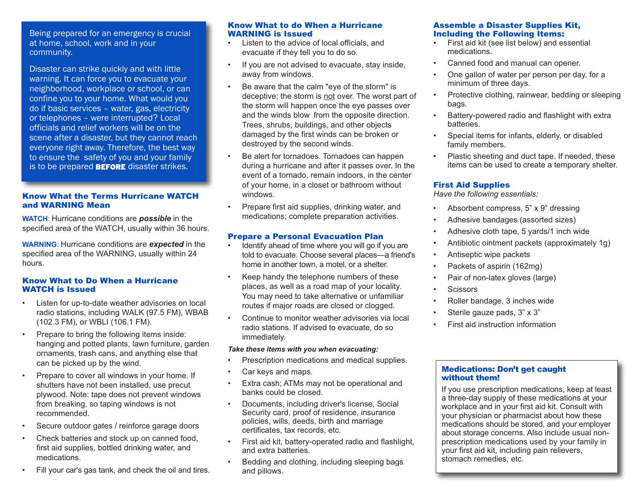Being prepared for an emergency is crucial at home, school, work and in your community.

Disaster can strike quickly and with little warning. It can force you to evacuate your neighborhood, workplace or school, or can confine you to your home. What would you do if basic services – water, gas, electricity or telephones – were interrupted? Local officials and relief workers will be on the scene after a disaster, but they cannot reach everyone right away. Therefore, the best way to ensure the safety of you and your family is to be prepared **BEFORE** disaster strikes.

#### Know What the Terms Hurricane WATCH and WARNING Mean

**WATCH**: Hurricane conditions are *possible* in the specified area of the WATCH, usually within 36 hours.

**WARNING**: Hurricane conditions are *expected* in the specified area of the WARNING, usually within 24 hours.

#### Know What to Do When a Hurricane WATCH is Issued

- Listen for up-to-date weather advisories on local radio stations, including WALK (97.5 FM), WBAB (102.3 FM), or WBLI (106.1 FM).
- Prepare to bring the following items inside: hanging and potted plants, lawn furniture, garden ornaments, trash cans, and anything else that can be picked up by the wind.
- Prepare to cover all windows in your home. If shutters have not been installed, use precut plywood. Note: tape does not prevent windows from breaking, so taping windows is not recommended.
- Secure outdoor gates / reinforce garage doors
- Check batteries and stock up on canned food, first aid supplies, bottled drinking water, and medications.
- Fill your car's gas tank, and check the oil and tires.

#### Know What to do When a Hurricane WARNING is Issued

- Listen to the advice of local officials, and evacuate if they tell you to do so.
- If you are not advised to evacuate, stay inside, away from windows.
- Be aware that the calm "eye of the storm" is deceptive; the storm is not over. The worst part of the storm will happen once the eye passes over and the winds blow from the opposite direction. Trees, shrubs, buildings, and other objects damaged by the first winds can be broken or destroyed by the second winds.
- Be alert for tornadoes. Tornadoes can happen during a hurricane and after it passes over. In the event of a tornado, remain indoors, in the center of your home, in a closet or bathroom without windows.
- Prepare first aid supplies, drinking water, and medications; complete preparation activities.

#### Prepare a Personal Evacuation Plan

- Identify ahead of time where you will go if you are told to evacuate. Choose several places—a friend's home in another town, a motel, or a shelter.
- Keep handy the telephone numbers of these places, as well as a road map of your locality. You may need to take alternative or unfamiliar routes if major roads are closed or clogged.
- Continue to monitor weather advisories via local radio stations. If advised to evacuate, do so immediately.

#### *Take these items with you when evacuating:*

- Prescription medications and medical supplies.
- Car keys and maps.
- Extra cash; ATMs may not be operational and banks could be closed.
- Documents, including driver's license, Social Security card, proof of residence, insurance policies, wills, deeds, birth and marriage certificates, tax records, etc.
- First aid kit, battery-operated radio and flashlight, and extra batteries.
- Bedding and clothing, including sleeping bags and pillows.

#### Assemble a Disaster Supplies Kit, Including the Following Items:

- First aid kit (see list below) and essential medications.
- Canned food and manual can opener.
- One gallon of water per person per day, for a minimum of three days.
- Protective clothing, rainwear, bedding or sleeping bags.
- Battery-powered radio and flashlight with extra batteries.
- Special items for infants, elderly, or disabled family members.
- Plastic sheeting and duct tape. If needed, these items can be used to create a temporary shelter.

#### First Aid Supplies

*Have the following essentials:* 

- Absorbent compress, 5" x 9" dressing
- Adhesive bandages (assorted sizes)
- Adhesive cloth tape, 5 yards/1 inch wide
- Antibiotic ointment packets (approximately 1g)
- Antiseptic wipe packets
- Packets of aspirin (162mg)
- Pair of non-latex gloves (large)
- **Scissors**
- Roller bandage, 3 inches wide
- Sterile gauze pads, 3" x 3"
- First aid instruction information

#### Medications: Don't get caught without them!

If you use prescription medications, keep at least a three-day supply of these medications at your workplace and in your first aid kit. Consult with your physician or pharmacist about how these medications should be stored, and your employer about storage concerns. Also include usual nonprescription medications used by your family in your first aid kit, including pain relievers, stomach remedies, etc.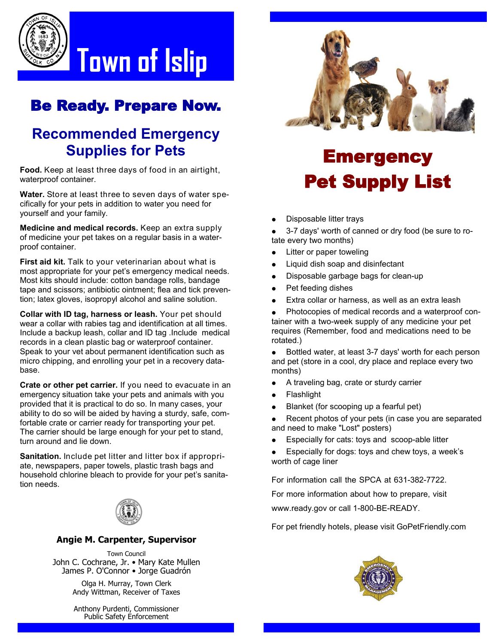

## Be Ready. Prepare Now.

## **Recommended Emergency Supplies for Pets**

**Food.** Keep at least three days of food in an airtight, waterproof container.

**Water.** Store at least three to seven days of water specifically for your pets in addition to water you need for yourself and your family.

**Medicine and medical records.** Keep an extra supply of medicine your pet takes on a regular basis in a waterproof container.

**First aid kit.** Talk to your veterinarian about what is most appropriate for your pet's emergency medical needs. Most kits should include: cotton bandage rolls, bandage tape and scissors; antibiotic ointment; flea and tick prevention; latex gloves, isopropyl alcohol and saline solution.

**Collar with ID tag, harness or leash.** Your pet should wear a collar with rabies tag and identification at all times. Include a backup leash, collar and ID tag .Include medical records in a clean plastic bag or waterproof container. Speak to your vet about permanent identification such as micro chipping, and enrolling your pet in a recovery database.

**Crate or other pet carrier.** If you need to evacuate in an emergency situation take your pets and animals with you provided that it is practical to do so. In many cases, your ability to do so will be aided by having a sturdy, safe, comfortable crate or carrier ready for transporting your pet. The carrier should be large enough for your pet to stand, turn around and lie down.

**Sanitation.** Include pet litter and litter box if appropriate, newspapers, paper towels, plastic trash bags and household chlorine bleach to provide for your pet's sanitation needs.



#### **Angie M. Carpenter, Supervisor**

Town Council John C. Cochrane, Jr. • Mary Kate Mullen James P. O'Connor • Jorge Guadrón

> Olga H. Murray, Town Clerk Andy Wittman, Receiver of Taxes

Anthony Purdenti, Commissioner Public Safety Enforcement



# **Emergency** Pet Supply List

Disposable litter trays

 3-7 days' worth of canned or dry food (be sure to rotate every two months)

- Litter or paper toweling
- Liquid dish soap and disinfectant
- Disposable garbage bags for clean-up
- Pet feeding dishes
- Extra collar or harness, as well as an extra leash

 Photocopies of medical records and a waterproof container with a two-week supply of any medicine your pet requires (Remember, food and medications need to be rotated.)

• Bottled water, at least 3-7 days' worth for each person and pet (store in a cool, dry place and replace every two months)

- A traveling bag, crate or sturdy carrier
- Flashlight
- Blanket (for scooping up a fearful pet)

 Recent photos of your pets (in case you are separated and need to make "Lost" posters)

- Especially for cats: toys and scoop-able litter
- Especially for dogs: toys and chew toys, a week's worth of cage liner

For information call the SPCA at 631-382-7722.

For more information about how to prepare, visit

www.ready.gov or call 1-800-BE-READY.

For pet friendly hotels, please visit GoPetFriendly.com